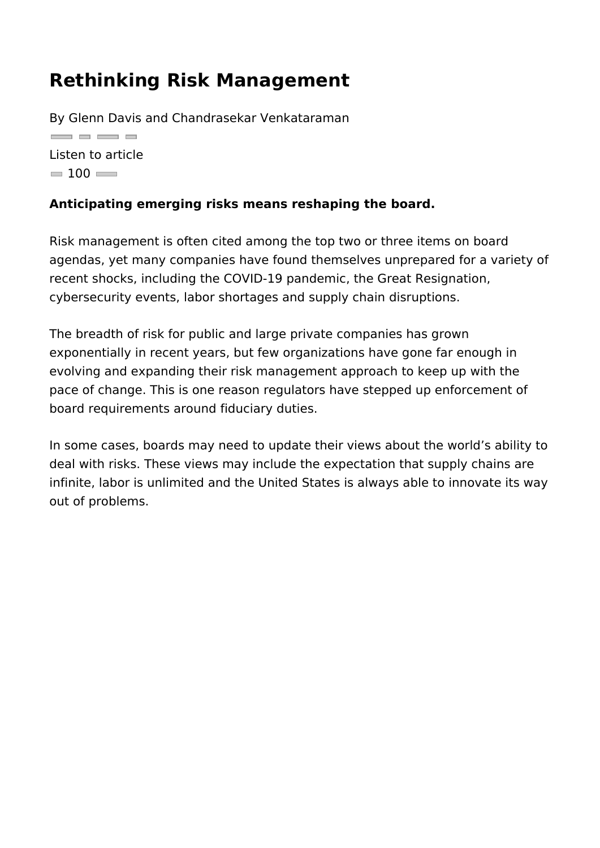## Rethinking Risk Management

By Glenn Davis and Chandrasekar Venkataraman <u>and a an a</u> Listen to article  $= 100$ 

Anticipating emerging risks means reshaping the board.

Risk management is often cited among the top two or three item agendas, yet many companies have found themselves unprepare recent shocks, including the COVID-19 pandemic, the Great Res cybersecurity events, labor shortages and supply chain disrupti

The breadth of risk for public and large private companies has exponentially in recent years, but few organizations have gone evolving and expanding their risk management approach to keep pace of change. This is one reason regulators have stepped up board requirements around fiduciary duties.

In some cases, boards may need to update their views about the deal with risks. These views may include the expectation that s infinite, labor is unlimited and the United States is always able out of problems.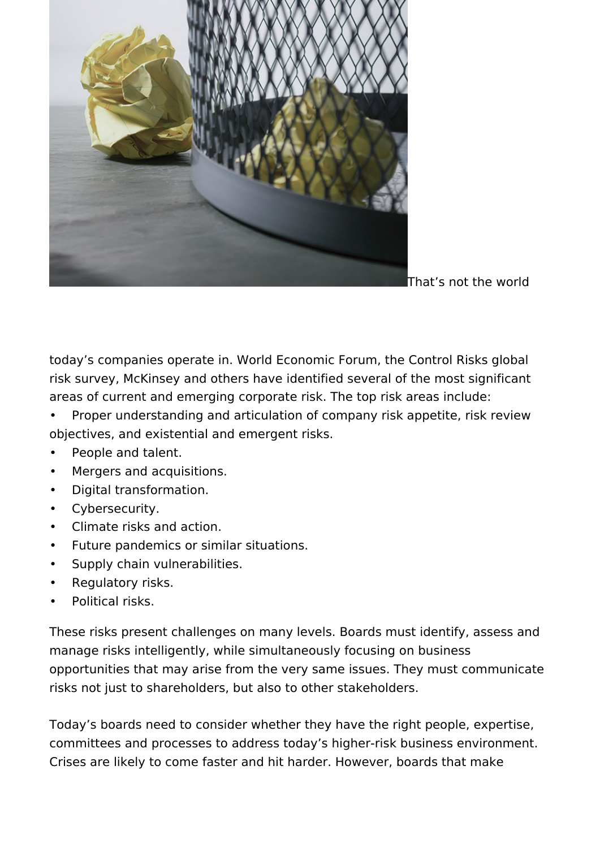

That's not the world

today's companies operate in. World Economic Forum, the Control Risks global risk survey, McKinsey and others have identified several of the most significant areas of current and emerging corporate risk. The top risk areas include:

• Proper understanding and articulation of company risk appetite, risk review objectives, and existential and emergent risks.

- People and talent.
- Mergers and acquisitions.
- Digital transformation.
- Cybersecurity.
- Climate risks and action.
- Future pandemics or similar situations.
- Supply chain vulnerabilities.
- Regulatory risks.
- Political risks.

These risks present challenges on many levels. Boards must identify, assess and manage risks intelligently, while simultaneously focusing on business opportunities that may arise from the very same issues. They must communicate risks not just to shareholders, but also to other stakeholders.

Today's boards need to consider whether they have the right people, expertise, committees and processes to address today's higher-risk business environment. Crises are likely to come faster and hit harder. However, boards that make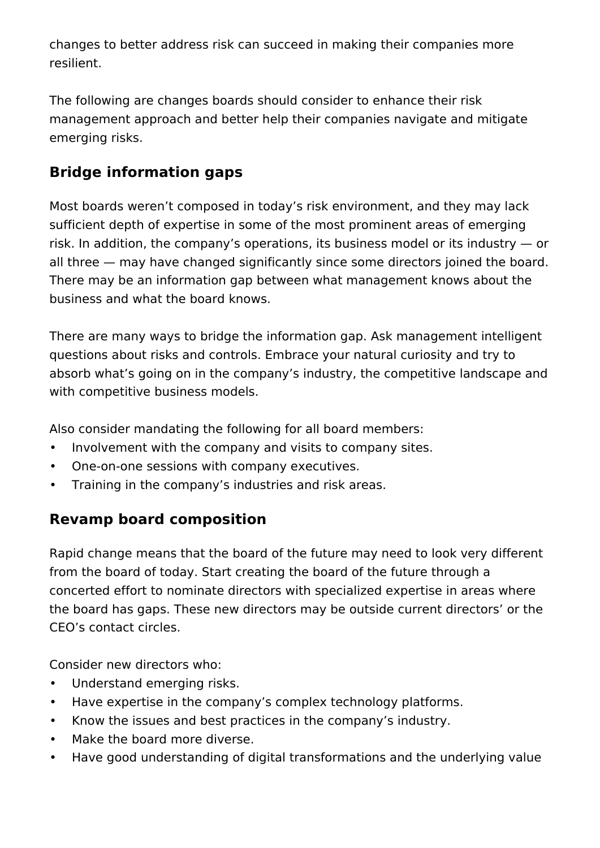changes to better address risk can succeed in making their companies more resilient.

The following are changes boards should consider to enhance their risk management approach and better help their companies navigate and mitigate emerging risks.

# **Bridge information gaps**

Most boards weren't composed in today's risk environment, and they may lack sufficient depth of expertise in some of the most prominent areas of emerging risk. In addition, the company's operations, its business model or its industry — or all three — may have changed significantly since some directors joined the board. There may be an information gap between what management knows about the business and what the board knows.

There are many ways to bridge the information gap. Ask management intelligent questions about risks and controls. Embrace your natural curiosity and try to absorb what's going on in the company's industry, the competitive landscape and with competitive business models.

Also consider mandating the following for all board members:

- Involvement with the company and visits to company sites.
- One-on-one sessions with company executives.
- Training in the company's industries and risk areas.

## **Revamp board composition**

Rapid change means that the board of the future may need to look very different from the board of today. Start creating the board of the future through a concerted effort to nominate directors with specialized expertise in areas where the board has gaps. These new directors may be outside current directors' or the CEO's contact circles.

Consider new directors who:

- Understand emerging risks.
- Have expertise in the company's complex technology platforms.
- Know the issues and best practices in the company's industry.
- Make the board more diverse.
- Have good understanding of digital transformations and the underlying value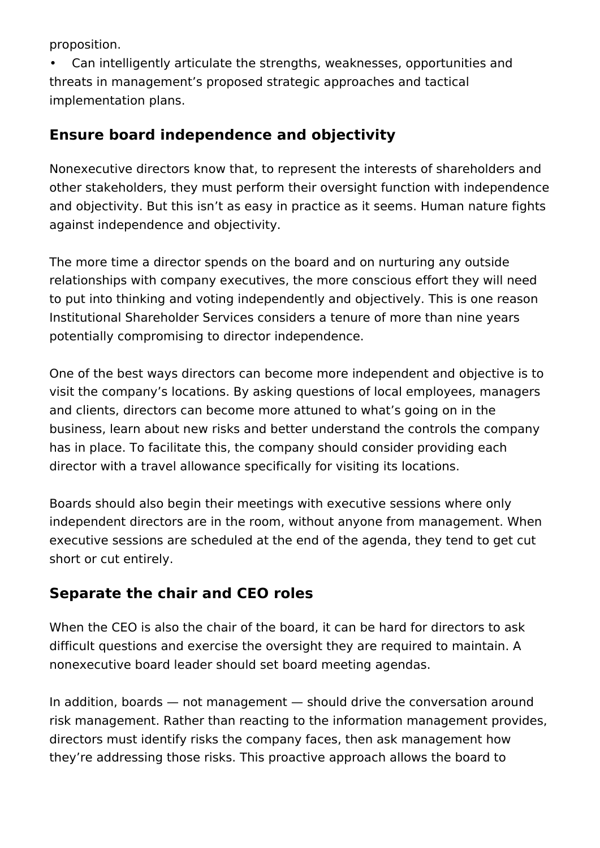proposition.

• Can intelligently articulate the strengths, weaknesses, opportunities and threats in management's proposed strategic approaches and tactical implementation plans.

#### **Ensure board independence and objectivity**

Nonexecutive directors know that, to represent the interests of shareholders and other stakeholders, they must perform their oversight function with independence and objectivity. But this isn't as easy in practice as it seems. Human nature fights against independence and objectivity.

The more time a director spends on the board and on nurturing any outside relationships with company executives, the more conscious effort they will need to put into thinking and voting independently and objectively. This is one reason Institutional Shareholder Services considers a tenure of more than nine years potentially compromising to director independence.

One of the best ways directors can become more independent and objective is to visit the company's locations. By asking questions of local employees, managers and clients, directors can become more attuned to what's going on in the business, learn about new risks and better understand the controls the company has in place. To facilitate this, the company should consider providing each director with a travel allowance specifically for visiting its locations.

Boards should also begin their meetings with executive sessions where only independent directors are in the room, without anyone from management. When executive sessions are scheduled at the end of the agenda, they tend to get cut short or cut entirely.

## **Separate the chair and CEO roles**

When the CEO is also the chair of the board, it can be hard for directors to ask difficult questions and exercise the oversight they are required to maintain. A nonexecutive board leader should set board meeting agendas.

In addition, boards — not management — should drive the conversation around risk management. Rather than reacting to the information management provides, directors must identify risks the company faces, then ask management how they're addressing those risks. This proactive approach allows the board to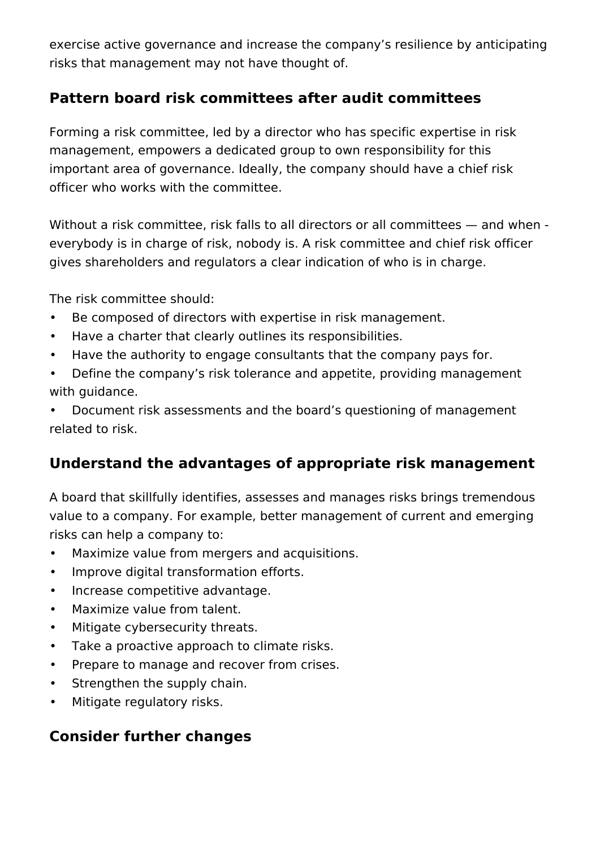exercise active governance and increase the company's resilience by anticipating risks that management may not have thought of.

#### **Pattern board risk committees after audit committees**

Forming a risk committee, led by a director who has specific expertise in risk management, empowers a dedicated group to own responsibility for this important area of governance. Ideally, the company should have a chief risk officer who works with the committee.

Without a risk committee, risk falls to all directors or all committees - and when everybody is in charge of risk, nobody is. A risk committee and chief risk officer gives shareholders and regulators a clear indication of who is in charge.

The risk committee should:

- Be composed of directors with expertise in risk management.
- Have a charter that clearly outlines its responsibilities.
- Have the authority to engage consultants that the company pays for.
- Define the company's risk tolerance and appetite, providing management with guidance.

• Document risk assessments and the board's questioning of management related to risk.

## **Understand the advantages of appropriate risk management**

A board that skillfully identifies, assesses and manages risks brings tremendous value to a company. For example, better management of current and emerging risks can help a company to:

- Maximize value from mergers and acquisitions.
- Improve digital transformation efforts.
- Increase competitive advantage.
- Maximize value from talent.
- Mitigate cybersecurity threats.
- Take a proactive approach to climate risks.
- Prepare to manage and recover from crises.
- Strengthen the supply chain.
- Mitigate regulatory risks.

#### **Consider further changes**